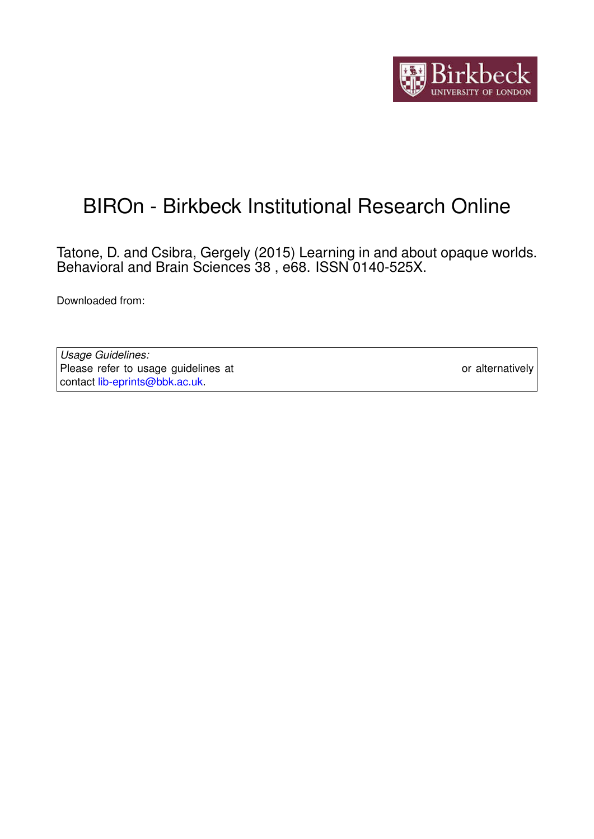

## BIROn - Birkbeck Institutional Research Online

Tatone, D. and Csibra, Gergely (2015) Learning in and about opaque worlds. Behavioral and Brain Sciences 38 , e68. ISSN 0140-525X.

Downloaded from: <https://eprints.bbk.ac.uk/id/eprint/12633/>

*Usage Guidelines:* Please refer to usage guidelines at <https://eprints.bbk.ac.uk/policies.html> or alternatively contact [lib-eprints@bbk.ac.uk.](mailto:lib-eprints@bbk.ac.uk)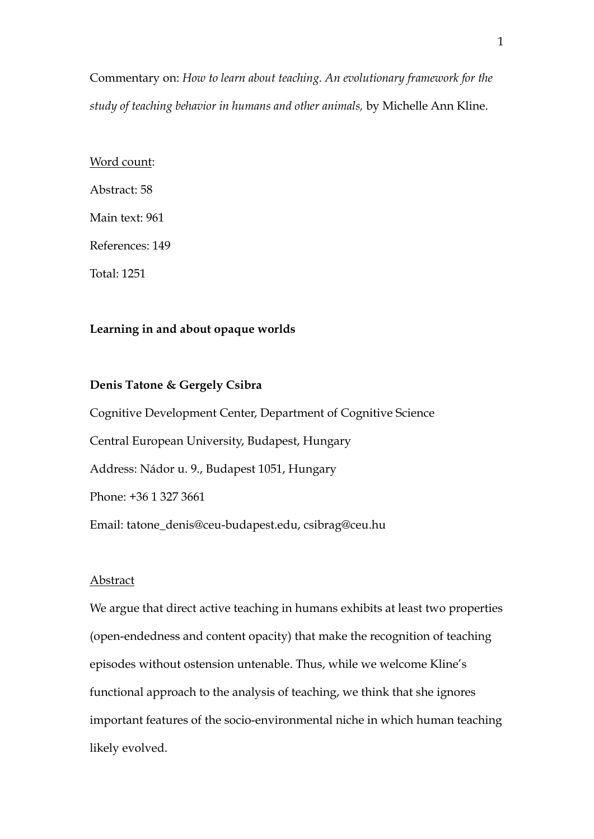Commentary on: *How to learn about teaching. An evolutionary framework for the study of teaching behavior in humans and other animals,* by Michelle Ann Kline.

# Word count: Abstract: 58 Main text: 961 References: 149 Total: 1251

### **Learning in and about opaque worlds**

#### **Denis Tatone & Gergely Csibra**

Cognitive Development Center, Department of Cognitive Science Central European University, Budapest, Hungary Address: Nádor u. 9., Budapest 1051, Hungary Phone: +36 1 327 3661 Email: [tatone\\_denis@ceu-budapest.edu](mailto:tatone_denis@ceu-budapest.edu), csibrag@ceu.hu

#### **Abstract**

We argue that direct active teaching in humans exhibits at least two properties (open-endedness and content opacity) that make the recognition of teaching episodes without ostension untenable. Thus, while we welcome Kline's functional approach to the analysis of teaching, we think that she ignores important features of the socio-environmental niche in which human teaching likely evolved.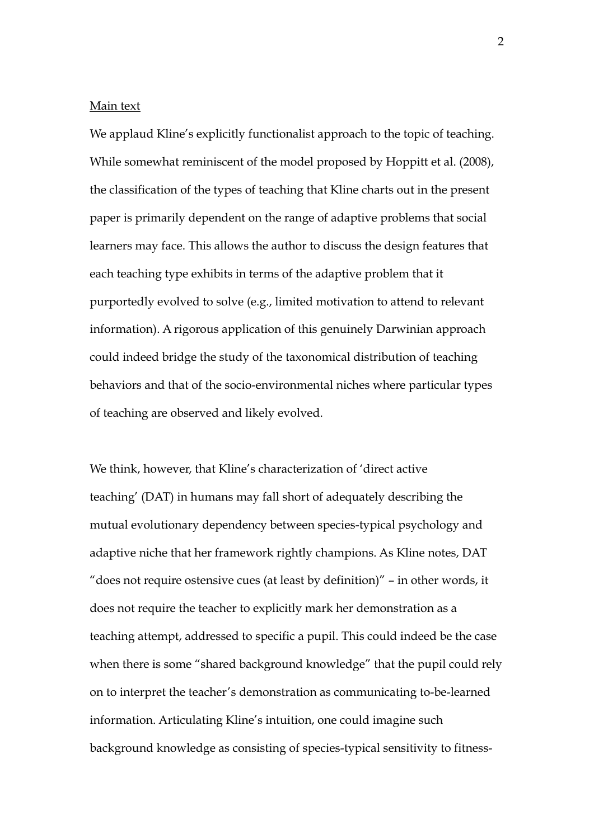#### Main text

We applaud Kline's explicitly functionalist approach to the topic of teaching. While somewhat reminiscent of the model proposed by Hoppitt et al. (2008), the classification of the types of teaching that Kline charts out in the present paper is primarily dependent on the range of adaptive problems that social learners may face. This allows the author to discuss the design features that each teaching type exhibits in terms of the adaptive problem that it purportedly evolved to solve (e.g., limited motivation to attend to relevant information). A rigorous application of this genuinely Darwinian approach could indeed bridge the study of the taxonomical distribution of teaching behaviors and that of the socio-environmental niches where particular types of teaching are observed and likely evolved.

We think, however, that Kline's characterization of 'direct active teaching' (DAT) in humans may fall short of adequately describing the mutual evolutionary dependency between species-typical psychology and adaptive niche that her framework rightly champions. As Kline notes, DAT "does not require ostensive cues (at least by definition)" – in other words, it does not require the teacher to explicitly mark her demonstration as a teaching attempt, addressed to specific a pupil. This could indeed be the case when there is some "shared background knowledge" that the pupil could rely on to interpret the teacher's demonstration as communicating to-be-learned information. Articulating Kline's intuition, one could imagine such background knowledge as consisting of species-typical sensitivity to fitness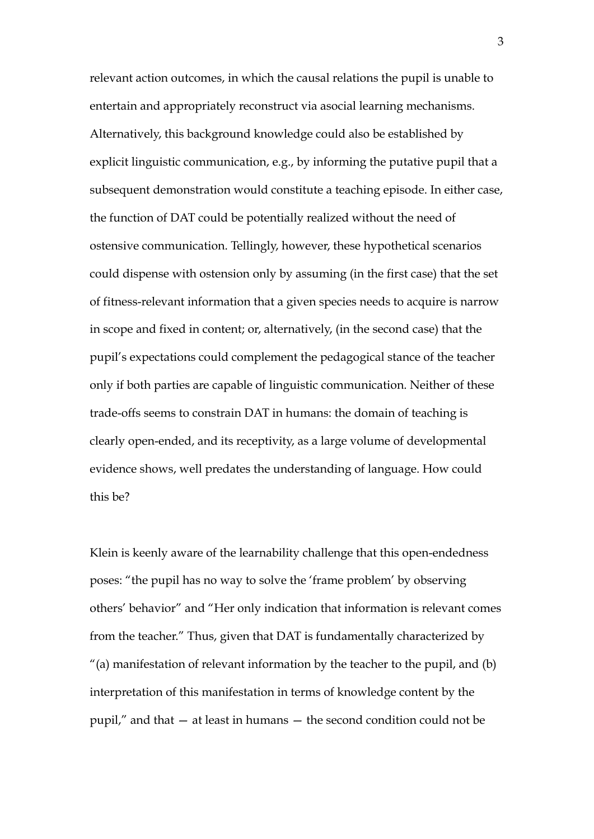relevant action outcomes, in which the causal relations the pupil is unable to entertain and appropriately reconstruct via asocial learning mechanisms. Alternatively, this background knowledge could also be established by explicit linguistic communication, e.g., by informing the putative pupil that a subsequent demonstration would constitute a teaching episode. In either case, the function of DAT could be potentially realized without the need of ostensive communication. Tellingly, however, these hypothetical scenarios could dispense with ostension only by assuming (in the first case) that the set of fitness-relevant information that a given species needs to acquire is narrow in scope and fixed in content; or, alternatively, (in the second case) that the pupil's expectations could complement the pedagogical stance of the teacher only if both parties are capable of linguistic communication. Neither of these trade-offs seems to constrain DAT in humans: the domain of teaching is clearly open-ended, and its receptivity, as a large volume of developmental evidence shows, well predates the understanding of language. How could this be?

Klein is keenly aware of the learnability challenge that this open-endedness poses: "the pupil has no way to solve the 'frame problem' by observing others' behavior" and "Her only indication that information is relevant comes from the teacher." Thus, given that DAT is fundamentally characterized by "(a) manifestation of relevant information by the teacher to the pupil, and (b) interpretation of this manifestation in terms of knowledge content by the pupil," and that — at least in humans — the second condition could not be

3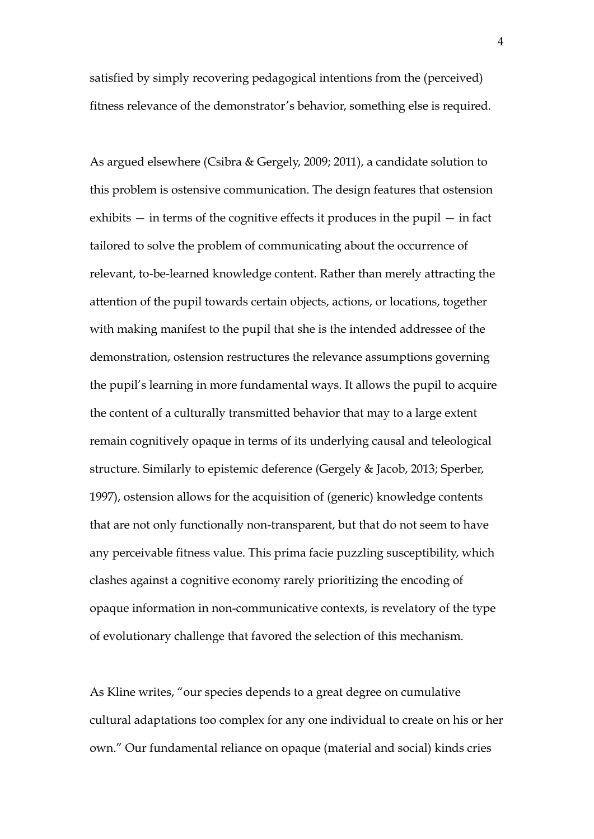satisfied by simply recovering pedagogical intentions from the (perceived) fitness relevance of the demonstrator's behavior, something else is required.

As argued elsewhere (Csibra & Gergely, 2009; 2011), a candidate solution to this problem is ostensive communication. The design features that ostension exhibits — in terms of the cognitive effects it produces in the pupil — in fact tailored to solve the problem of communicating about the occurrence of relevant, to-be-learned knowledge content. Rather than merely attracting the attention of the pupil towards certain objects, actions, or locations, together with making manifest to the pupil that she is the intended addressee of the demonstration, ostension restructures the relevance assumptions governing the pupil's learning in more fundamental ways. It allows the pupil to acquire the content of a culturally transmitted behavior that may to a large extent remain cognitively opaque in terms of its underlying causal and teleological structure. Similarly to epistemic deference (Gergely & Jacob, 2013; Sperber, 1997), ostension allows for the acquisition of (generic) knowledge contents that are not only functionally non-transparent, but that do not seem to have any perceivable fitness value. This prima facie puzzling susceptibility, which clashes against a cognitive economy rarely prioritizing the encoding of opaque information in non-communicative contexts, is revelatory of the type of evolutionary challenge that favored the selection of this mechanism.

As Kline writes, "our species depends to a great degree on cumulative cultural adaptations too complex for any one individual to create on his or her own." Our fundamental reliance on opaque (material and social) kinds cries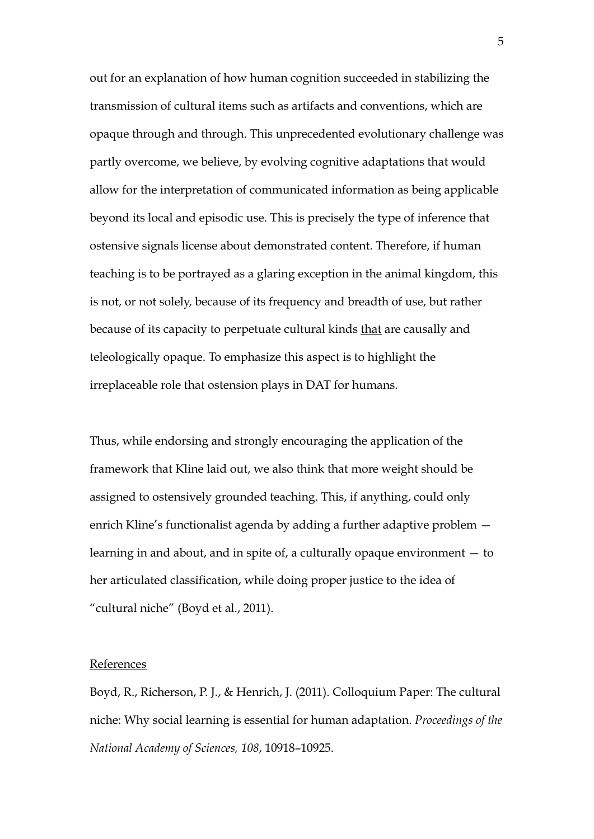out for an explanation of how human cognition succeeded in stabilizing the transmission of cultural items such as artifacts and conventions, which are opaque through and through. This unprecedented evolutionary challenge was partly overcome, we believe, by evolving cognitive adaptations that would allow for the interpretation of communicated information as being applicable beyond its local and episodic use. This is precisely the type of inference that ostensive signals license about demonstrated content. Therefore, if human teaching is to be portrayed as a glaring exception in the animal kingdom, this is not, or not solely, because of its frequency and breadth of use, but rather because of its capacity to perpetuate cultural kinds that are causally and teleologically opaque. To emphasize this aspect is to highlight the irreplaceable role that ostension plays in DAT for humans.

Thus, while endorsing and strongly encouraging the application of the framework that Kline laid out, we also think that more weight should be assigned to ostensively grounded teaching. This, if anything, could only enrich Kline's functionalist agenda by adding a further adaptive problem learning in and about, and in spite of, a culturally opaque environment — to her articulated classification, while doing proper justice to the idea of "cultural niche" (Boyd et al., 2011).

### **References**

Boyd, R., Richerson, P. J., & Henrich, J. (2011). Colloquium Paper: The cultural niche: Why social learning is essential for human adaptation. *Proceedings of the National Academy of Sciences, 108*, 10918–10925.